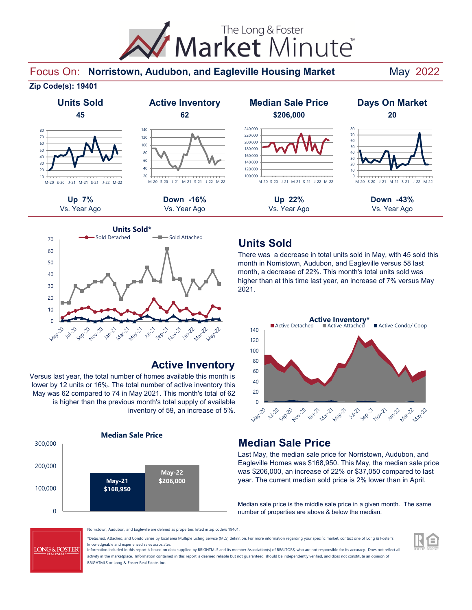Market Minute The Long & Foster

#### Focus On: Norristown, Audubon, and Eagleville Housing Market May 2022

#### **Zip Code(s): 19401**



#### 20  $40$ 60 80 100 120 140 M-20 S-20 J-21 M-21 S-21 J-22 M-22



#### **Active Inventory**

Versus last year, the total number of homes available this month is lower by 12 units or 16%. The total number of active inventory this May was 62 compared to 74 in May 2021. This month's total of 62 is higher than the previous month's total supply of available inventory of 59, an increase of 5%.



#### **Up 7% Down -16% Up 22% Down -43% Units Sold Active Inventory Median Sale Price Days On Market 45 62 \$206,000 20** Vs. Year Ago Vs. Year Ago Vs. Year Ago Vs. Year Ago 100,000 120,000 140,000 160,000 180,000 200,000 220,000 240,000 M-20 S-20 J-21 M-21 S-21 J-22 M-22  $\theta$ 10  $20$ 30 40 50 60 70 80 M-20 S-20 J-21 M-21 S-21 J-22 M-22

### **Units Sold**

There was a decrease in total units sold in May, with 45 sold this month in Norristown, Audubon, and Eagleville versus 58 last month, a decrease of 22%. This month's total units sold was higher than at this time last year, an increase of 7% versus May 2021.



## **Median Sale Price**

Last May, the median sale price for Norristown, Audubon, and Eagleville Homes was \$168,950. This May, the median sale price was \$206,000, an increase of 22% or \$37,050 compared to last year. The current median sold price is 2% lower than in April.

Median sale price is the middle sale price in a given month. The same number of properties are above & below the median.

**LONG & FOSTER** 

Norristown, Audubon, and Eagleville are defined as properties listed in zip code/s 19401.

\*Detached, Attached, and Condo varies by local area Multiple Listing Service (MLS) definition. For more information regarding your specific market, contact one of Long & Foster's knowledgeable and experienced sales associates.

Information included in this report is based on data supplied by BRIGHTMLS and its member Association(s) of REALTORS, who are not responsible for its accuracy. Does not reflect all activity in the marketplace. Information contained in this report is deemed reliable but not guaranteed, should be independently verified, and does not constitute an opinion of BRIGHTMLS or Long & Foster Real Estate, Inc.